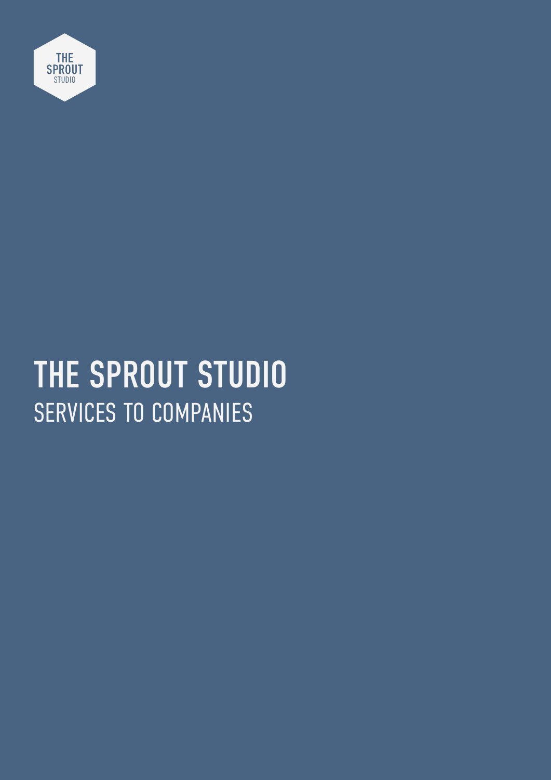

# SERVICES TO COMPANIES THE SPROUT STUDIO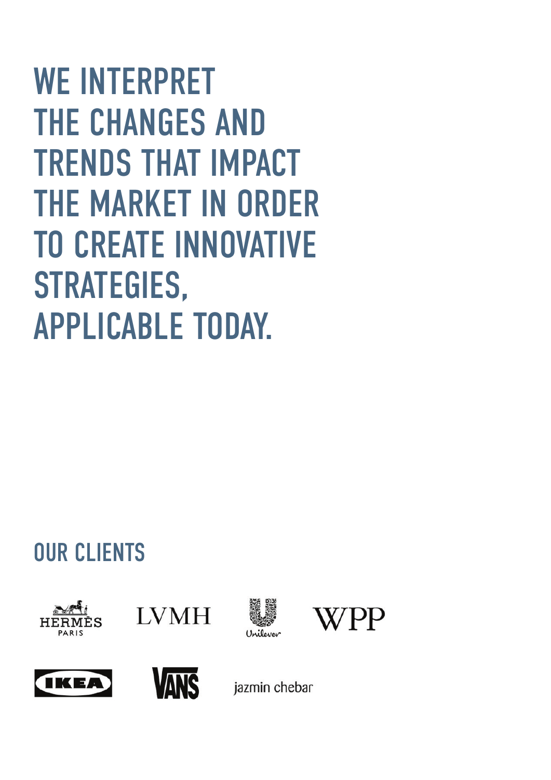WE INTERPRET THE CHANGES AND TRENDS THAT IMPACT THE MARKET IN ORDER TO CREATE INNOVATIVE STRATEGIES, APPLICABLE TODAY.

### OUR CLIENTS













jazmin chebar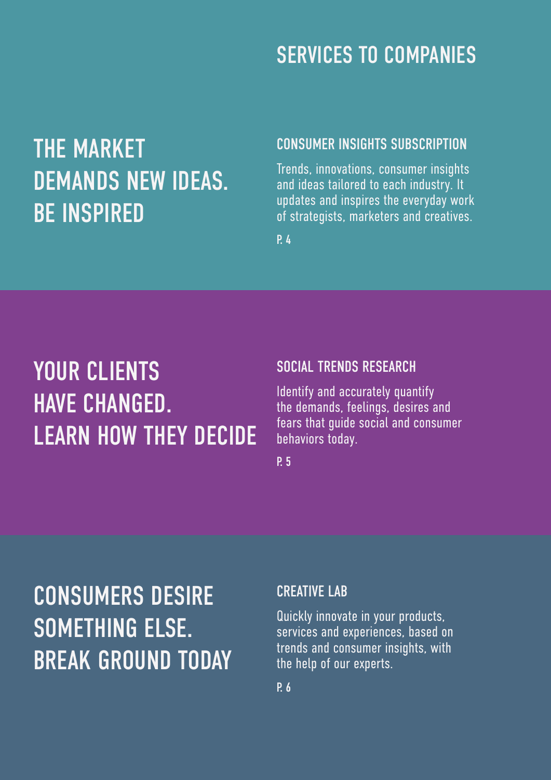### SERVICES TO COMPANIES

### THE MARKET DEMANDS NEW IDEAS. BE INSPIRED

#### CONSUMER INSIGHTS SUBSCRIPTION

Trends, innovations, consumer insights and ideas tailored to each industry. It updates and inspires the everyday work of strategists, marketers and creatives.

P. 4

### YOUR CLIENTS HAVE CHANGED. LEARN HOW THEY DECIDE

#### SOCIAL TRENDS RESEARCH

Identify and accurately quantify the demands, feelings, desires and fears that guide social and consumer behaviors today.

P. 5

## CONSUMERS DESIRE SOMETHING ELSE. BREAK GROUND TODAY

#### CREATIVE LAB

Quickly innovate in your products, services and experiences, based on trends and consumer insights, with the help of our experts.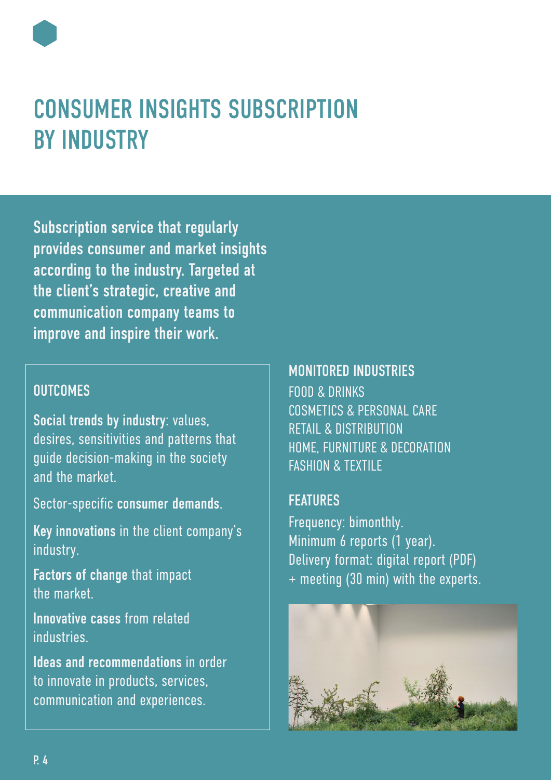### CONSUMER INSIGHTS SUBSCRIPTION BY INDUSTRY

Subscription service that regularly provides consumer and market insights according to the industry. Targeted at the client's strategic, creative and communication company teams to improve and inspire their work.

#### **OUTCOMES**

Social trends by industry: values, desires, sensitivities and patterns that guide decision-making in the society and the market.

Sector-specific consumer demands.

Key innovations in the client company's industry.

Factors of change that impact the market.

Innovative cases from related **industries** 

Ideas and recommendations in order to innovate in products, services, communication and experiences.

#### MONITORED INDUSTRIES

FOOD & DRINKS COSMETICS & PERSONAL CARE RETAIL & DISTRIBUTION HOME, FURNITURE & DECORATION FASHION & TEXTILE

#### FEATURES

Frequency: bimonthly. Minimum 6 reports (1 year). Delivery format: digital report (PDF) + meeting (30 min) with the experts.

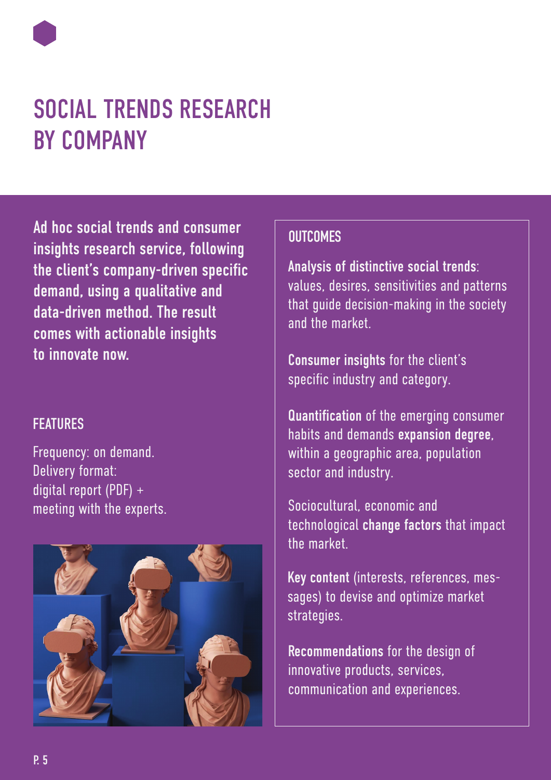### SOCIAL TRENDS RESEARCH BY COMPANY

Ad hoc social trends and consumer insights research service, following the client's company-driven specific demand, using a qualitative and data-driven method. The result comes with actionable insights to innovate now.

#### **FFATIIRES**

Frequency: on demand. Delivery format: digital report (PDF) + meeting with the experts.



#### **OUTCOMES**

Analysis of distinctive social trends: values, desires, sensitivities and patterns that guide decision-making in the society and the market.

Consumer insights for the client's specific industry and category.

Quantification of the emerging consumer habits and demands expansion degree, within a geographic area, population sector and industry.

Sociocultural, economic and technological change factors that impact the market.

Key content (interests, references, messages) to devise and optimize market strategies.

Recommendations for the design of innovative products, services, communication and experiences.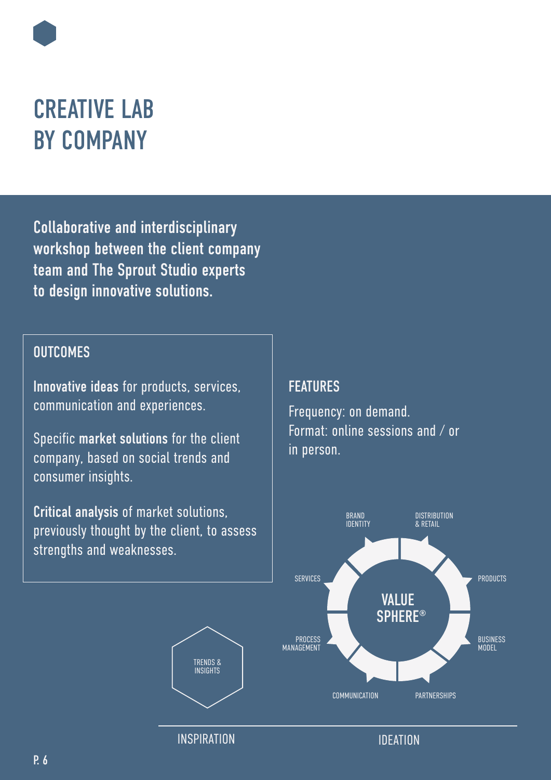### CREATIVE LAB BY COMPANY

Collaborative and interdisciplinary workshop between the client company team and The Sprout Studio experts to design innovative solutions.

#### **OUTCOMES**

Innovative ideas for products, services, communication and experiences.

Specific market solutions for the client company, based on social trends and consumer insights.

Critical analysis of market solutions, previously thought by the client, to assess strengths and weaknesses.

#### **FEATURES**

Frequency: on demand. Format: online sessions and / or in person.



INSPIRATION **IDEATION** 

TRENDS & INSIGHTS